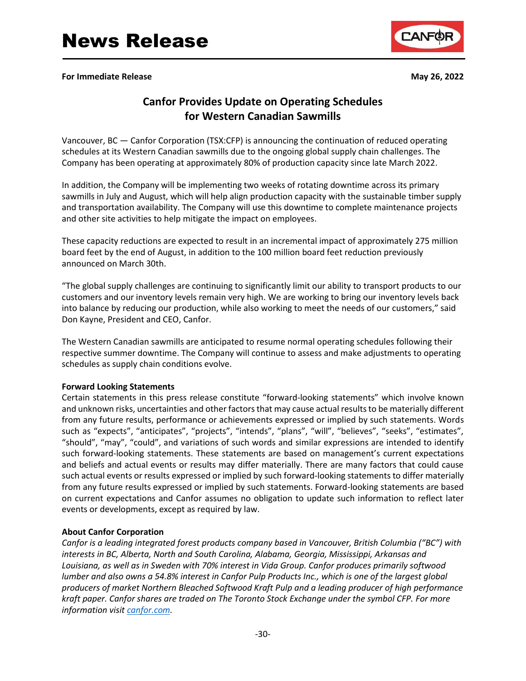**For Immediate Release May 26, 2022**



## **Canfor Provides Update on Operating Schedules for Western Canadian Sawmills**

Vancouver, BC — Canfor Corporation (TSX:CFP) is announcing the continuation of reduced operating schedules at its Western Canadian sawmills due to the ongoing global supply chain challenges. The Company has been operating at approximately 80% of production capacity since late March 2022.

In addition, the Company will be implementing two weeks of rotating downtime across its primary sawmills in July and August, which will help align production capacity with the sustainable timber supply and transportation availability. The Company will use this downtime to complete maintenance projects and other site activities to help mitigate the impact on employees.

These capacity reductions are expected to result in an incremental impact of approximately 275 million board feet by the end of August, in addition to the 100 million board feet reduction previously announced on March 30th.

"The global supply challenges are continuing to significantly limit our ability to transport products to our customers and our inventory levels remain very high. We are working to bring our inventory levels back into balance by reducing our production, while also working to meet the needs of our customers," said Don Kayne, President and CEO, Canfor.

The Western Canadian sawmills are anticipated to resume normal operating schedules following their respective summer downtime. The Company will continue to assess and make adjustments to operating schedules as supply chain conditions evolve.

## **Forward Looking Statements**

Certain statements in this press release constitute "forward-looking statements" which involve known and unknown risks, uncertainties and other factors that may cause actual results to be materially different from any future results, performance or achievements expressed or implied by such statements. Words such as "expects", "anticipates", "projects", "intends", "plans", "will", "believes", "seeks", "estimates", "should", "may", "could", and variations of such words and similar expressions are intended to identify such forward-looking statements. These statements are based on management's current expectations and beliefs and actual events or results may differ materially. There are many factors that could cause such actual events or results expressed or implied by such forward-looking statements to differ materially from any future results expressed or implied by such statements. Forward-looking statements are based on current expectations and Canfor assumes no obligation to update such information to reflect later events or developments, except as required by law.

## **About Canfor Corporation**

*Canfor is a leading integrated forest products company based in Vancouver, British Columbia ("BC") with interests in BC, Alberta, North and South Carolina, Alabama, Georgia, Mississippi, Arkansas and Louisiana, as well as in Sweden with 70% interest in Vida Group. Canfor produces primarily softwood lumber and also owns a 54.8% interest in Canfor Pulp Products Inc., which is one of the largest global producers of market Northern Bleached Softwood Kraft Pulp and a leading producer of high performance kraft paper. Canfor shares are traded on The Toronto Stock Exchange under the symbol CFP. For more information visi[t canfor.com.](https://www.canfor.com/)*